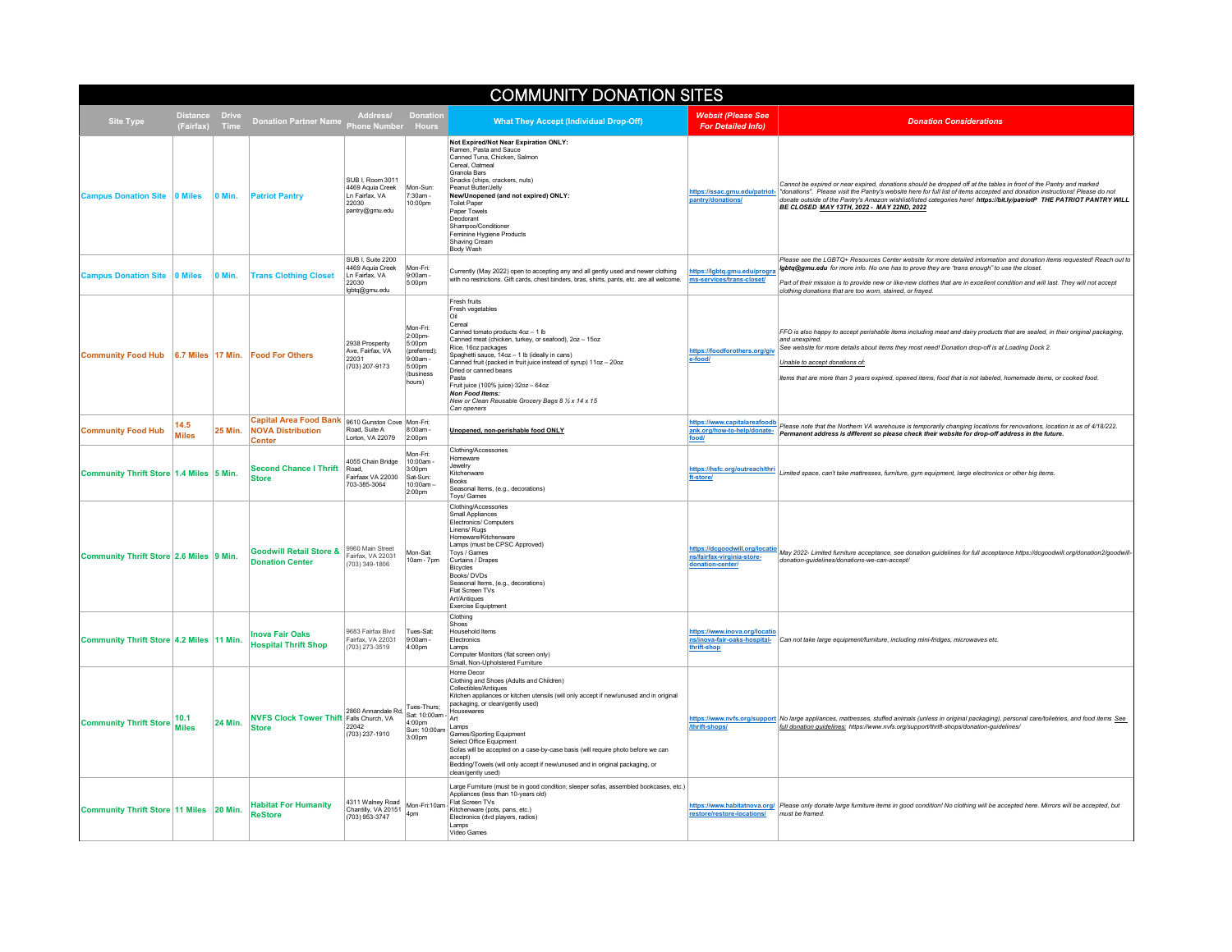| <b>COMMUNITY DONATION SITES</b>                       |                      |                                                                            |                                                                                              |                                                                                                   |                                                                                                                                                                                                                                                                                                                                                                                                                                                                                                  |                                                                                |                                                                                                                                                                                                                                                                                                                                                                                                                                                         |  |
|-------------------------------------------------------|----------------------|----------------------------------------------------------------------------|----------------------------------------------------------------------------------------------|---------------------------------------------------------------------------------------------------|--------------------------------------------------------------------------------------------------------------------------------------------------------------------------------------------------------------------------------------------------------------------------------------------------------------------------------------------------------------------------------------------------------------------------------------------------------------------------------------------------|--------------------------------------------------------------------------------|---------------------------------------------------------------------------------------------------------------------------------------------------------------------------------------------------------------------------------------------------------------------------------------------------------------------------------------------------------------------------------------------------------------------------------------------------------|--|
| <b>Site Type</b><br>(Fairfax)                         | <b>Drive</b><br>Time | Donation Partner Name Phone Number Hours                                   | Address/ Donation                                                                            |                                                                                                   | <b>What They Accept (Individual Drop-Off)</b>                                                                                                                                                                                                                                                                                                                                                                                                                                                    | <b>Websit (Please See</b><br><b>For Detailed Info)</b>                         | <b>Donation Considerations</b>                                                                                                                                                                                                                                                                                                                                                                                                                          |  |
| <b>Campus Donation Site</b><br>0 Miles                | 0 Min.               | <b>Patriot Pantry</b>                                                      | SUB I, Room 3011<br>4469 Aquia Creek<br>Ln Fairfax, VA<br>22030<br>pantry@gmu.edu            | Mon-Sun:<br>7:30am -<br>10:00pm                                                                   | Not Expired/Not Near Expiration ONLY:<br>Ramen, Pasta and Sauce<br>Canned Tuna, Chicken, Salmon<br>Cereal, Oatmeal<br>Granola Bars<br>Snacks (chips, crackers, nuts)<br>Peanut Butter/Jelly<br>New/Unopened (and not expired) ONLY:<br><b>Toilet Paper</b><br>Paper Towels<br>Deodorant<br>Shampoo/Conditioner<br>Feminine Hygiene Products<br>Shaving Cream<br>Body Wash                                                                                                                        | pantry/donations/                                                              | Cannot be expired or near expired, donations should be dropped off at the tables in front of the Pantry and marked<br>https://ssac.gmu.edu/patriot- "donations". Please visit the Pantry's website here for full list of items accepted and donation instructions! Please do not<br>donate outside of the Pantry's Amazon wishlist/listed categories here! https://bit.ly/patriotP THE PATRIOT PANTRY WILL<br>BE CLOSED MAY 13TH, 2022 - MAY 22ND, 2022 |  |
| <b>Campus Donation Site</b><br><b>0 Miles</b>         | 0 Min.               | <b>Trans Clothing Closet</b>                                               | SUB L Suite 2200<br>4469 Aguia Creek<br>Ln Fairfax, VA<br>22030<br>lgbtq@gmu.edu             | Mon-Fri<br>9:00am -<br>5:00pm                                                                     | Currently (May 2022) open to accepting any and all gently used and newer clothing<br>with no restrictions. Gift cards, chest binders, bras, shirts, pants, etc. are all welcome.                                                                                                                                                                                                                                                                                                                 | https://lgbtq.gmu.edu/progra<br>ms-services/trans-closet/                      | Please see the LGBTQ+ Resources Center website for more detailed information and donation items requested! Reach out to<br>Igbtq@gmu.edu for more info. No one has to prove they are "trans enough" to use the closet.<br>Part of their mission is to provide new or like-new clothes that are in excellent condition and will last. They will not accept<br>clothing donations that are too worn, stained, or frayed.                                  |  |
| <b>Community Food Hub</b>                             | 6.7 Miles   17 Min.  | <b>Food For Others</b>                                                     | 2938 Prosperity<br>Ave, Fairfax, VA<br>22031<br>(703) 207-9173                               | Mon-Fri:<br>2:00pm-<br>5:00pm<br>(preferred):<br>$9.00$ am -<br>$5:00$ pm<br>(business)<br>hours) | Fresh fruits<br>Fresh vegetables<br>Oil<br>Cereal<br>Canned tomato products 4oz - 1 lb<br>Canned meat (chicken, turkey, or seafood), 2oz - 15oz<br>Rice, 16oz packages<br>Spaghetti sauce, 14oz - 1 lb (ideally in cans)<br>Canned fruit (packed in fruit juice instead of syrup) 11oz - 20oz<br>Dried or canned beans<br>Pasta<br>Fruit juice (100% juice) 32oz - 64oz<br><b>Non Food Items:</b><br>New or Clean Reusable Grocery Bags 8 1/2 x 14 x 15<br>Can openers                           | https://foodforothers.org/giv<br>e-food/                                       | FFO is also happy to accept perishable items including meat and dairy products that are sealed, in their original packaging,<br>and unexpired<br>See website for more details about items they most need! Donation drop-off is at Loading Dock 2.<br>Unable to accept donations of:<br>Items that are more than 3 years expired, opened items, food that is not labeled, homemade items, or cooked food.                                                |  |
| 14.5<br><b>Community Food Hub</b><br><b>Miles</b>     | 25 Min.              | <b>Capital Area Food Bank</b><br><b>NOVA Distribution</b><br><b>Center</b> | 9610 Gunston Cove Mon-Fri:<br>Road, Suite A<br>I orton VA 22079                              | 8:00am<br>2:00pm                                                                                  | Unopened, non-perishable food ONLY                                                                                                                                                                                                                                                                                                                                                                                                                                                               | https://www.capitalareafoodb<br>ank.org/how-to-help/donate-<br>food            | Please note that the Northern VA warehouse is temporarily changing locations for renovations, location is as of 4/18/222.<br>Permanent address is different so please check their website for drop-off address in the future.                                                                                                                                                                                                                           |  |
| Community Thrift Store 1.4 Miles 5 Min.               |                      | <b>Second Chance I Thrift</b><br><b>Store</b>                              | 4055 Chain Bridge<br>Road<br>Fairfaax VA 22030<br>703-385-3064                               | Mon-Fri:<br>10:00am<br>3:00pm<br>Sat-Sun:<br>10:00am-<br>2:00pm                                   | Clothing/Accessories<br>Homeware<br>Jewelry<br>Kitchenware<br>Books<br>Seasonal Items, (e.g., decorations)<br>Toys/ Games                                                                                                                                                                                                                                                                                                                                                                        | https://hsfc.org/outreach/thri<br>ft-store/                                    | Limited space, can't take mattresses, furniture, gym equipment, large electronics or other big items.                                                                                                                                                                                                                                                                                                                                                   |  |
| Community Thrift Store 2.6 Miles 9 Min.               |                      | <b>Goodwill Retail Store &amp;</b><br><b>Donation Center</b>               | 9960 Main Street<br>Fairfax, VA 22031<br>(703) 349-1806                                      | Mon-Sat:<br>10am - 7pm                                                                            | Clothing/Accessories<br>Small Appliances<br>Electronics/ Computers<br>Linens/ Rugs<br>Homeware/Kitchenware<br>Lamps (must be CPSC Approved)<br>Toys / Games<br>Curtains / Drapes<br>Bicycles<br>Books/DVDs<br>Seasonal Items, (e.g., decorations)<br>Flat Screen TVs<br>Art/Antiques<br>Exercise Equiptment                                                                                                                                                                                      | https://dcgoodwill.org/local<br>ns/fairfax-virginia-store-<br>donation-center/ | May 2022- Limited furniture acceptance, see donation guidelines for full acceptance https://dcgoodwill.org/donation2/goodwill-<br>donation-guidelines/donations-we-can-accept/                                                                                                                                                                                                                                                                          |  |
| Community Thrift Store 4.2 Miles 11 Min.              |                      | <b>Inova Fair Oaks</b><br><b>Hospital Thrift Shop</b>                      | 9683 Fairfax Blvd<br>Fairfax, VA 22031<br>(703) 273-3519                                     | Tues-Sat:<br>9:00am -<br>4:00pm                                                                   | Clothing<br>Shoes<br><b>Household Items</b><br>Electronics<br>Lamps<br>Computer Monitors (flat screen only)<br>Small, Non-Upholstered Furniture                                                                                                                                                                                                                                                                                                                                                  | https://www.inova.org/locatio<br>ns/inova-fair-oaks-hospital-<br>thrift-shop   | Can not take large equipment/furniture, including mini-fridges, microwaves etc.                                                                                                                                                                                                                                                                                                                                                                         |  |
| 10.1<br><b>Community Thrift Store</b><br><b>Miles</b> | 24 Min.              | <b>NVFS Clock Tower Thift Falls Church, VA</b><br><b>Store</b>             | 2860 Annandale Rd,   I ues-mans,   Hous<br>  Sat: 10:00am -   Art<br>22042<br>(703) 237-1910 | 4:00pm<br>Sun: 10:00am<br>3:00pm                                                                  | Home Decor<br>Clothing and Shoes (Adults and Children)<br>Collectibles/Antiques<br>Kitchen appliances or kitchen utensils (will only accept if new/unused and in original<br>packaging, or clean/gently used)<br>Housewares<br>Lamps<br>Games/Sporting Equipment<br>Select Office Equipment<br>Sofas will be accepted on a case-by-case basis (will require photo before we can<br>accept)<br>Bedding/Towels (will only accept if new/unused and in original packaging, or<br>clean/gently used) | /thrift-shops                                                                  | https://www.nvfs.org/support No large appliances, mattresses, stuffed animals (unless in original packaging), personal care/toiletries, and food items See<br>full donation guidelines: https://www.nvfs.org/support/thrift-shops/donation-guidelines/                                                                                                                                                                                                  |  |
| Community Thrift Store 11 Miles 20 Min.               |                      | <b>Habitat For Humanity</b><br><b>ReStore</b>                              | 4311 Walney Road<br>Chantilly, VA 20151<br>(703) 953-3747                                    | Mon-Fri:10am -<br>4pm                                                                             | Large Furniture (must be in good condition; sleeper sofas, assembled bookcases, etc.)<br>Appliances (less than 10-years old)<br>Flat Screen TVs<br>Kitchenware (pots, pans, etc.)<br>Electronics (dvd players, radios)<br>Lamps<br>Video Games                                                                                                                                                                                                                                                   | restore/restore-locations/                                                     | https://www.habitatnova.org/ Please only donate large furniture items in good condition! No clothing will be accepted here. Mirrors will be accepted, but<br>must be framed.                                                                                                                                                                                                                                                                            |  |